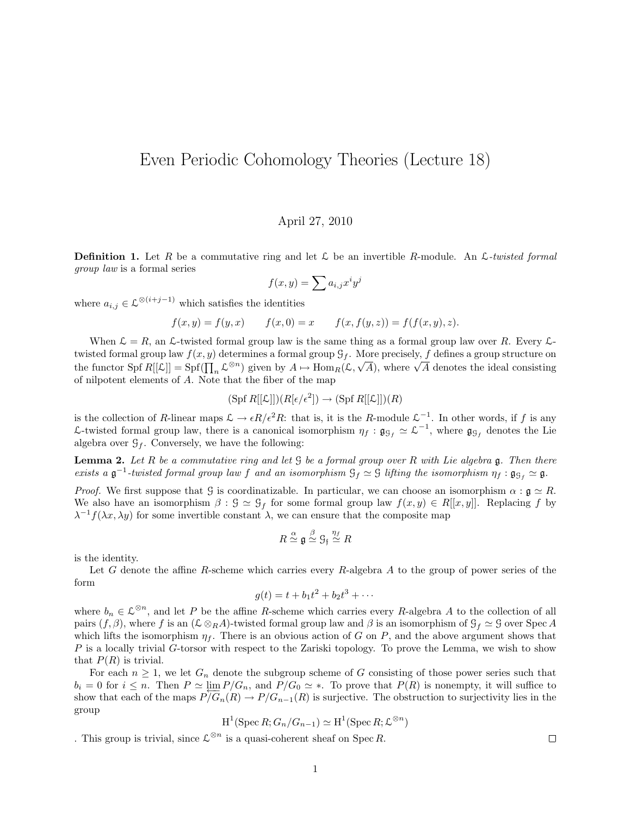## Even Periodic Cohomology Theories (Lecture 18)

## April 27, 2010

**Definition 1.** Let R be a commutative ring and let L be an invertible R-module. An L-twisted formal group law is a formal series

$$
f(x,y) = \sum a_{i,j} x^i y^j
$$

where  $a_{i,j} \in \mathcal{L}^{\otimes (i+j-1)}$  which satisfies the identities

$$
f(x, y) = f(y, x)
$$
  $f(x, 0) = x$   $f(x, f(y, z)) = f(f(x, y), z).$ 

When  $\mathcal{L} = R$ , an  $\mathcal{L}$ -twisted formal group law is the same thing as a formal group law over R. Every  $\mathcal{L}$ twisted formal group law  $f(x, y)$  determines a formal group  $\mathcal{G}_f$ . More precisely, f defines a group structure on the functor Spf  $R[[\mathcal{L}]] = \text{Spf}([\prod_n \mathcal{L}^{\otimes n})$  given by  $A \mapsto \text{Hom}_R(\mathcal{L}, \sqrt{A})$ , where  $\sqrt{A}$  denotes the ideal consisting of nilpotent elements of A. Note that the fiber of the map

$$
(\operatorname{Spf} R[[\mathcal{L}]])(R[\epsilon/\epsilon^2]) \to (\operatorname{Spf} R[[\mathcal{L}]])(R)
$$

is the collection of R-linear maps  $\mathcal{L} \to \epsilon R/\epsilon^2 R$ : that is, it is the R-module  $\mathcal{L}^{-1}$ . In other words, if f is any L-twisted formal group law, there is a canonical isomorphism  $\eta_f : \mathfrak{g}_{\mathcal{G}_f} \simeq \mathcal{L}^{-1}$ , where  $\mathfrak{g}_{\mathcal{G}_f}$  denotes the Lie algebra over  $\mathcal{G}_f$ . Conversely, we have the following:

**Lemma 2.** Let R be a commutative ring and let  $\mathcal{G}$  be a formal group over R with Lie algebra  $\mathfrak{g}$ . Then there exists a  $\mathfrak{g}^{-1}$ -twisted formal group law f and an isomorphism  $\mathfrak{G}_f \simeq \mathfrak{G}$  lifting the isomorphism  $\eta_f : \mathfrak{g}_{\mathfrak{G}_f} \simeq \mathfrak{g}$ .

*Proof.* We first suppose that G is coordinatizable. In particular, we can choose an isomorphism  $\alpha : \mathfrak{g} \simeq R$ . We also have an isomorphism  $\beta : \mathcal{G} \simeq \mathcal{G}_f$  for some formal group law  $f(x, y) \in R[[x, y]]$ . Replacing f by  $\lambda^{-1}f(\lambda x, \lambda y)$  for some invertible constant  $\lambda$ , we can ensure that the composite map

$$
R \stackrel{\alpha}{\simeq} \mathfrak{g} \stackrel{\beta}{\simeq} \mathfrak{G}_{\mathfrak{f}} \stackrel{\eta_f}{\simeq} R
$$

is the identity.

Let G denote the affine R-scheme which carries every R-algebra A to the group of power series of the form

$$
g(t) = t + b_1 t^2 + b_2 t^3 + \cdots
$$

where  $b_n \in \mathcal{L}^{\otimes n}$ , and let P be the affine R-scheme which carries every R-algebra A to the collection of all pairs  $(f, \beta)$ , where f is an  $(\mathcal{L} \otimes_R A)$ -twisted formal group law and  $\beta$  is an isomorphism of  $\mathcal{G}_f \simeq \mathcal{G}$  over Spec A which lifts the isomorphism  $\eta_f$ . There is an obvious action of G on P, and the above argument shows that  $P$  is a locally trivial  $G$ -torsor with respect to the Zariski topology. To prove the Lemma, we wish to show that  $P(R)$  is trivial.

For each  $n \geq 1$ , we let  $G_n$  denote the subgroup scheme of G consisting of those power series such that  $b_i = 0$  for  $i \leq n$ . Then  $P \simeq \lim_{n \to \infty} P/G_n$ , and  $P/G_0 \simeq *$ . To prove that  $P(R)$  is nonempty, it will suffice to show that each of the maps  $P\overline{G_n}(R) \to P/G_{n-1}(R)$  is surjective. The obstruction to surjectivity lies in the group

$$
H^1(\operatorname{Spec} R; G_n/G_{n-1}) \simeq H^1(\operatorname{Spec} R; \mathcal{L}^{\otimes n})
$$

. This group is trivial, since  $\mathcal{L}^{\otimes n}$  is a quasi-coherent sheaf on Spec R.

 $\Box$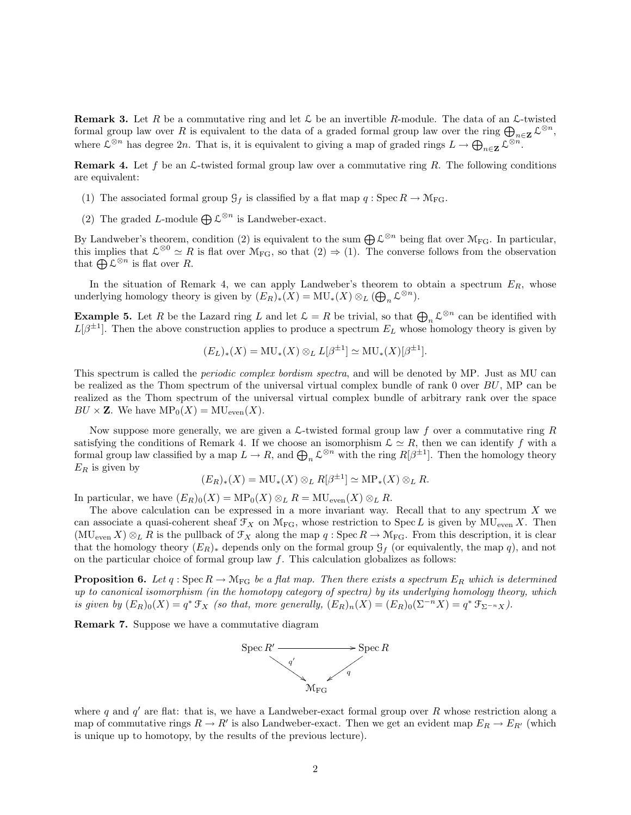**Remark 3.** Let R be a commutative ring and let  $\mathcal{L}$  be an invertible R-module. The data of an  $\mathcal{L}$ -twisted formal group law over R is equivalent to the data of a graded formal group law over the ring  $\bigoplus_{n\in\mathbf{Z}}\mathcal{L}^{\otimes n}$ , where  $\mathcal{L}^{\otimes n}$  has degree  $2n$ . That is, it is equivalent to giving a map of graded rings  $L \to \bigoplus_{n \in \mathbf{Z}} \mathcal{L}^{\otimes n}$ .

**Remark 4.** Let f be an  $\mathcal{L}$ -twisted formal group law over a commutative ring R. The following conditions are equivalent:

- (1) The associated formal group  $\mathcal{G}_f$  is classified by a flat map  $q : \text{Spec } R \to \mathcal{M}_{\text{FG}}$ .
- (2) The graded L-module  $\bigoplus \mathcal{L}^{\otimes n}$  is Landweber-exact.

By Landweber's theorem, condition (2) is equivalent to the sum  $\bigoplus \mathcal{L}^{\otimes n}$  being flat over  $\mathcal{M}_{\text{FG}}$ . In particular, this implies that  $\mathcal{L}^{\otimes 0} \simeq R$  is flat over  $\mathcal{M}_{FG}$ , so that  $(2) \Rightarrow (1)$ . The converse follows from the observation that  $\bigoplus \mathcal{L}^{\otimes n}$  is flat over R.

In the situation of Remark 4, we can apply Landweber's theorem to obtain a spectrum  $E_R$ , whose underlying homology theory is given by  $(E_R)_*(X) = MU_*(X) \otimes_L (\bigoplus_n \mathcal{L}^{\otimes n}).$ 

**Example 5.** Let R be the Lazard ring L and let  $\mathcal{L} = R$  be trivial, so that  $\bigoplus_{n} \mathcal{L}^{\otimes n}$  can be identified with  $L[\beta^{\pm 1}]$ . Then the above construction applies to produce a spectrum  $E_L$  whose homology theory is given by

$$
(E_L)_*(X) = \text{MU}_*(X) \otimes_L L[\beta^{\pm 1}] \simeq \text{MU}_*(X)[\beta^{\pm 1}].
$$

This spectrum is called the *periodic complex bordism spectra*, and will be denoted by MP. Just as MU can be realized as the Thom spectrum of the universal virtual complex bundle of rank 0 over BU, MP can be realized as the Thom spectrum of the universal virtual complex bundle of arbitrary rank over the space  $BU \times \mathbf{Z}$ . We have  $MP_0(X) = MU_{even}(X)$ .

Now suppose more generally, we are given a  $\mathcal{L}\text{-twisted formal group law }f$  over a commutative ring R satisfying the conditions of Remark 4. If we choose an isomorphism  $\mathcal{L} \simeq R$ , then we can identify f with a formal group law classified by a map  $L \to R$ , and  $\bigoplus_n \mathcal{L}^{\otimes n}$  with the ring  $R[\beta^{\pm 1}]$ . Then the homology theory  $E_R$  is given by

$$
(E_R)_*(X) = \mathrm{MU}_*(X) \otimes_L R[\beta^{\pm 1}] \simeq \mathrm{MP}_*(X) \otimes_L R.
$$

In particular, we have  $(E_R)_0(X) = \text{MP}_0(X) \otimes_L R = \text{MU}_{\text{even}}(X) \otimes_L R$ .

The above calculation can be expressed in a more invariant way. Recall that to any spectrum  $X$  we can associate a quasi-coherent sheaf  $\mathcal{F}_X$  on  $\mathcal{M}_{FG}$ , whose restriction to Spec L is given by  $MU_{even} X$ . Then  $(MU_{\text{even}} X) \otimes_L R$  is the pullback of  $\mathcal{F}_X$  along the map  $q : \text{Spec } R \to \mathcal{M}_{\text{FG}}$ . From this description, it is clear that the homology theory  $(E_R)_*$  depends only on the formal group  $\mathcal{G}_f$  (or equivalently, the map q), and not on the particular choice of formal group law  $f$ . This calculation globalizes as follows:

**Proposition 6.** Let q : Spec  $R \to \mathcal{M}_{FG}$  be a flat map. Then there exists a spectrum  $E_R$  which is determined up to canonical isomorphism (in the homotopy category of spectra) by its underlying homology theory, which is given by  $(E_R)_0(X) = q^* \mathcal{F}_X$  (so that, more generally,  $(E_R)_n(X) = (E_R)_0(\Sigma^{-n} X) = q^* \mathcal{F}_{\Sigma^{-n} X}$ ).

Remark 7. Suppose we have a commutative diagram



where q and  $q'$  are flat: that is, we have a Landweber-exact formal group over R whose restriction along a map of commutative rings  $R \to R'$  is also Landweber-exact. Then we get an evident map  $E_R \to E_{R'}$  (which is unique up to homotopy, by the results of the previous lecture).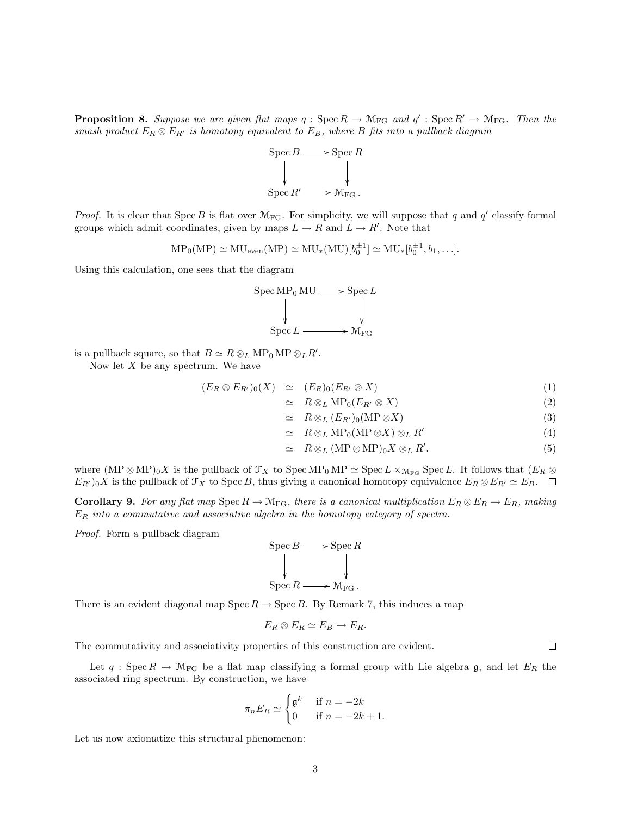**Proposition 8.** Suppose we are given flat maps  $q : \text{Spec } R \to \mathcal{M}_{FG}$  and  $q' : \text{Spec } R' \to \mathcal{M}_{FG}$ . Then the smash product  $E_R \otimes E_{R'}$  is homotopy equivalent to  $E_B$ , where B fits into a pullback diagram



*Proof.* It is clear that Spec B is flat over  $\mathcal{M}_{FG}$ . For simplicity, we will suppose that q and q' classify formal groups which admit coordinates, given by maps  $L \to R$  and  $L \to R'$ . Note that

$$
MP_0(MP) \simeq MU_{even}(MP) \simeq MU_*(MU)[b_0^{\pm 1}] \simeq MU_*[b_0^{\pm 1}, b_1, \ldots].
$$

Using this calculation, one sees that the diagram



is a pullback square, so that  $B \simeq R \otimes_L \text{MP}_0 \text{MP} \otimes_L R'.$ 

Now let  $X$  be any spectrum. We have

$$
(E_R \otimes E_{R'})_0(X) \simeq (E_R)_0(E_{R'} \otimes X) \tag{1}
$$

$$
\simeq \quad R \otimes_L \mathrm{MP}_0(E_{R'} \otimes X) \tag{2}
$$

$$
\simeq \quad R \otimes_L (E_{R'})_0(\text{MP} \otimes X) \tag{3}
$$

$$
\simeq R \otimes_L \text{MP}_0(\text{MP} \otimes X) \otimes_L R'
$$
 (4)

$$
\simeq R \otimes_L (MP \otimes MP)_0 X \otimes_L R'. \tag{5}
$$

where  $(MP \otimes MP)_0X$  is the pullback of  $\mathcal{F}_X$  to  $Spec MP_0MP \simeq Spec L \times_{M_{FG}} Spec L$ . It follows that  $(E_R \otimes$  $E_{R_0}$  is the pullback of  $\mathcal{F}_X$  to Spec B, thus giving a canonical homotopy equivalence  $E_R \otimes E_{R_0} \simeq E_B$ .

**Corollary 9.** For any flat map Spec  $R \to \mathcal{M}_{FG}$ , there is a canonical multiplication  $E_R \otimes E_R \to E_R$ , making  $E_R$  into a commutative and associative algebra in the homotopy category of spectra.

Proof. Form a pullback diagram

$$
\begin{array}{ccc}\n\text{Spec } B & \longrightarrow & \text{Spec } R \\
\downarrow & & \downarrow \\
\text{Spec } R & \longrightarrow & \mathcal{M}_{\text{FG}}\n\end{array}
$$

There is an evident diagonal map  $Spec R \to Spec B$ . By Remark 7, this induces a map

$$
E_R \otimes E_R \simeq E_B \to E_R.
$$

The commutativity and associativity properties of this construction are evident.

Let  $q: \text{Spec } R \to \mathcal{M}_{FG}$  be a flat map classifying a formal group with Lie algebra g, and let  $E_R$  the associated ring spectrum. By construction, we have

$$
\pi_n E_R \simeq \begin{cases} \mathfrak{g}^k & \text{if } n = -2k \\ 0 & \text{if } n = -2k+1. \end{cases}
$$

Let us now axiomatize this structural phenomenon:

 $\Box$